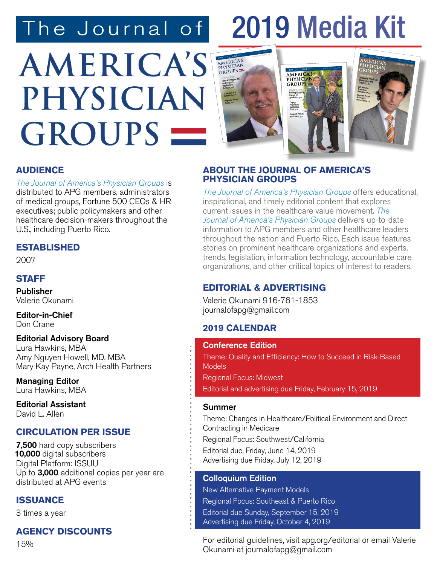# The Journal of 2019 Media Kit

Volume 12 • No. 3 • Fall 2018 COLLOQUIUM EDITION

# **AMERICA'S** PHYSICIAN GROUPS –



#### **AUDIENCE**

The Journal of America's Physician Groups is distributed to APG members, administrators of medical groups, Fortune 500 CEOs & HR executives; public policymakers and other healthcare decision-makers throughout the U.S., including Puerto Rico.

#### **ESTABLISHED**

2007

#### **STAFF**

Publisher Valerie Okunami

Editor-in-Chief Don Crane

#### Editorial Advisory Board Lura Hawkins, MBA Amy Nguyen Howell, MD, MBA Mary Kay Payne, Arch Health Partners

Managing Editor Lura Hawkins, MBA

Editorial Assistant David L. Allen

#### **CIRCULATION PER ISSUE**

7,500 hard copy subscribers Digital Platform: ISSUU Up to 3,000 additional copies per year are distributed at APG events 10,000 digital subscribers

#### **ISSUANCE**

3 times a year

#### **AGENCY DISCOUNTS**

15%

#### **ABOUT THE JOURNAL OF AMERICA'S PHYSICIAN GROUPS**

The Journal of America's Physician Groups offers educational, inspirational, and timely editorial content that explores current issues in the healthcare value movement. The Journal of America's Physician Groups delivers up-to-date information to APG members and other healthcare leaders throughout the nation and Puerto Rico. Each issue features stories on prominent healthcare organizations and experts, trends, legislation, information technology, accountable care organizations, and other critical topics of interest to readers.

#### **EDITORIAL & ADVERTISING**

Valerie Okunami 916-761-1853 journalofapg@gmail.com

#### **2019 CALENDAR**

#### Conference Edition

Theme: Quality and Efficiency: How to Succeed in Risk-Based **Models** 

Regional Focus: Midwest

Editorial and advertising due Friday, February 15, 2019

#### Summer

Theme: Changes in Healthcare/Political Environment and Direct Contracting in Medicare Regional Focus: Southwest/California Editorial due, Friday, June 14, 2019 Advertising due Friday, July 12, 2019

#### Colloquium Edition

New Alternative Payment Models Regional Focus: Southeast & Puerto Rico Editorial due Sunday, September 15, 2019 Advertising due Friday, October 4, 2019

For editorial guidelines, visit apg.org/editorial or email Valerie Okunami at journalofapg@gmail.com